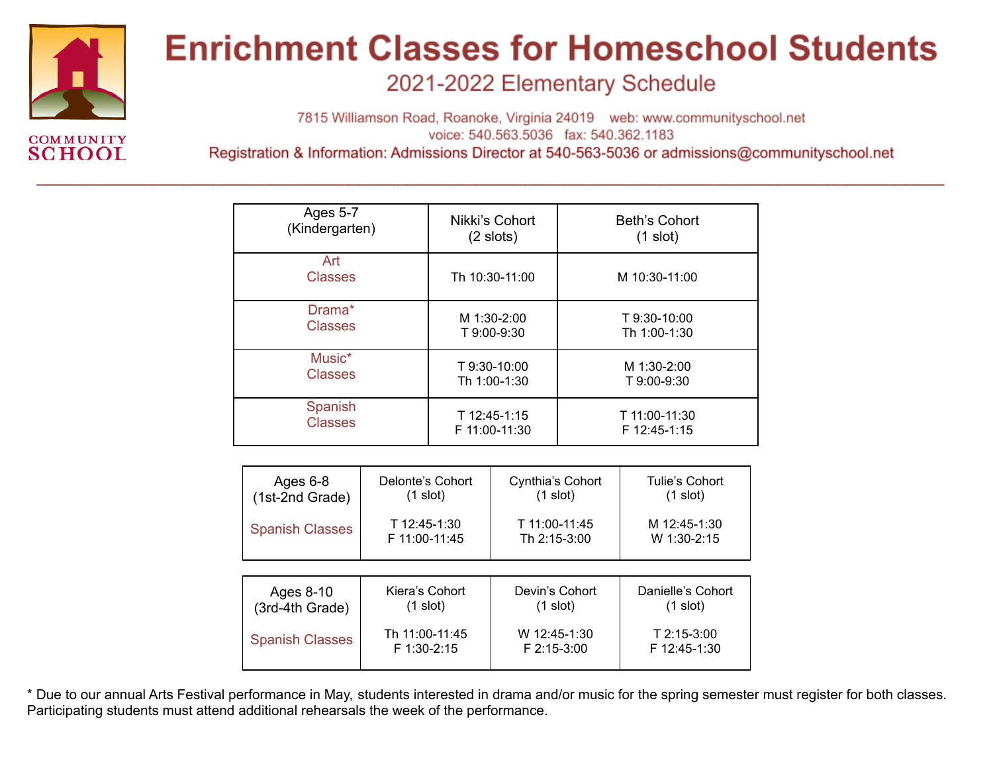

### **Enrichment Classes for Homeschool Students**

2021-2022 Elementary Schedule

7815 Williamson Road, Roanoke, Virginia 24019 web: www.communityschool.net voice: 540.563.5036 fax: 540.362.1183

Registration & Information: Admissions Director at 540-563-5036 or admissions@communityschool.net

| <b>Ages 5-7</b>       | Nikki's Cohort | Beth's Cohort |
|-----------------------|----------------|---------------|
| (Kindergarten)        | $(2$ slots)    | $(1$ slot)    |
| Art<br><b>Classes</b> | Th 10:30-11:00 | M 10:30-11:00 |
| Drama*                | M 1:30-2:00    | T 9:30-10:00  |
| <b>Classes</b>        | T 9:00-9:30    | Th 1:00-1:30  |
| Music*                | T 9:30-10:00   | M 1:30-2:00   |
| <b>Classes</b>        | Th 1:00-1:30   | T 9:00-9:30   |
| Spanish               | T 12:45-1:15   | T 11:00-11:30 |
| <b>Classes</b>        | F 11:00-11:30  | F 12:45-1:15  |

 $\mathcal{L}_\mathcal{L} = \mathcal{L}_\mathcal{L} = \mathcal{L}_\mathcal{L} = \mathcal{L}_\mathcal{L} = \mathcal{L}_\mathcal{L} = \mathcal{L}_\mathcal{L} = \mathcal{L}_\mathcal{L} = \mathcal{L}_\mathcal{L} = \mathcal{L}_\mathcal{L} = \mathcal{L}_\mathcal{L} = \mathcal{L}_\mathcal{L} = \mathcal{L}_\mathcal{L} = \mathcal{L}_\mathcal{L} = \mathcal{L}_\mathcal{L} = \mathcal{L}_\mathcal{L} = \mathcal{L}_\mathcal{L} = \mathcal{L}_\mathcal{L}$ 

| Ages 6-8                                                | Delonte's Cohort   | Cynthia's Cohort              | Tulie's Cohort              |  |
|---------------------------------------------------------|--------------------|-------------------------------|-----------------------------|--|
| (1st-2nd Grade)                                         | $(1 \text{ slot})$ | $(1$ slot)                    | $(1$ slot)                  |  |
| T 12:45-1:30<br><b>Spanish Classes</b><br>F 11:00-11:45 |                    | T 11:00-11:45<br>Th 2:15-3:00 | M 12:45-1:30<br>W 1:30-2:15 |  |
|                                                         |                    |                               |                             |  |
| Ages 8-10                                               | Kiera's Cohort     | Devin's Cohort                | Danielle's Cohort           |  |
| (3rd-4th Grade)                                         | (1 slot)           | $(1$ slot)                    | $(1$ slot)                  |  |
| <b>Spanish Classes</b>                                  | Th 11:00-11:45     | W 12:45-1:30                  | $T$ 2:15-3:00               |  |
|                                                         | F 1:30-2:15        | F 2:15-3:00                   | F 12:45-1:30                |  |

\* Due to our annual Arts Festival performance in May, students interested in drama and/or music for the spring semester must register for both classes. Participating students must attend additional rehearsals the week of the performance.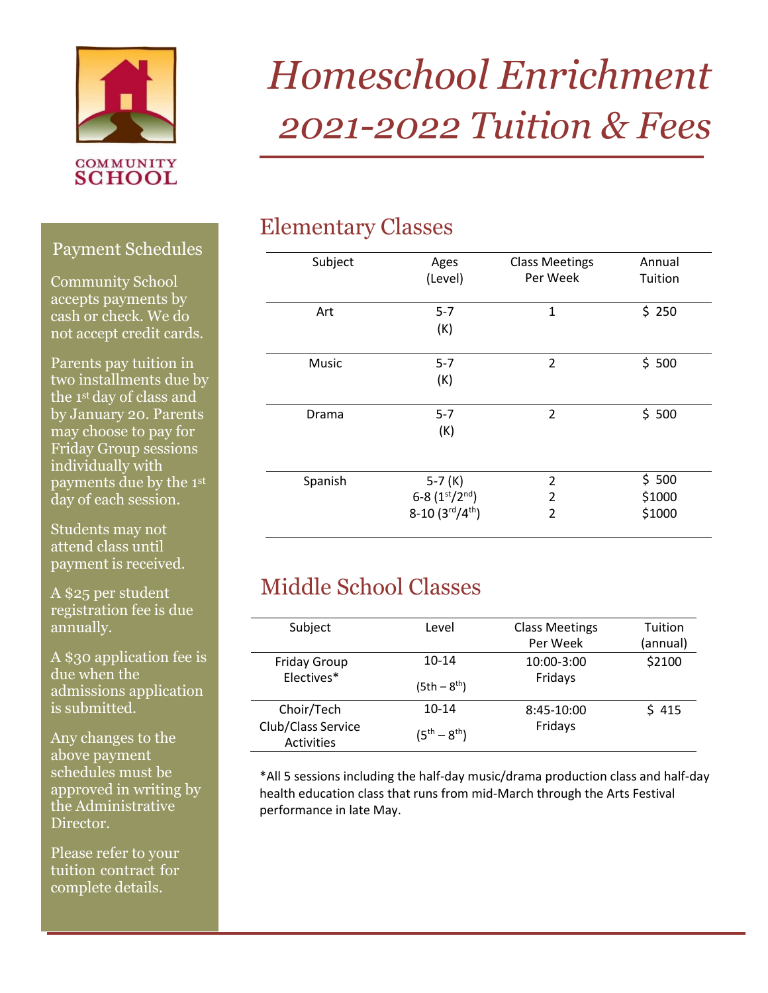

**SCHOOL** 

# **\_\_\_\_\_\_\_\_\_\_\_\_\_\_** *2021-2022 Tuition & Fees Homeschool Enrichment*

#### Elementary Classes

| Subject | Ages                                | <b>Class Meetings</b> | Annual  |
|---------|-------------------------------------|-----------------------|---------|
|         | (Level)                             | Per Week              | Tuition |
| Art     | $5 - 7$                             | $\mathbf{1}$          | \$250   |
|         | (K)                                 |                       |         |
| Music   | $5 - 7$                             | $\overline{2}$        | \$500   |
|         | (K)                                 |                       |         |
| Drama   | $5 - 7$                             | $\overline{2}$        | \$500   |
|         | (K)                                 |                       |         |
| Spanish | $5-7(K)$                            | $\overline{2}$        | \$500   |
|         | 6-8 $(1st/2nd)$                     | $\overline{2}$        | \$1000  |
|         | $8-10(3^{\text{rd}}/4^{\text{th}})$ | $\overline{2}$        | \$1000  |

### Middle School Classes

| Subject             | Level               | <b>Class Meetings</b> | Tuition  |
|---------------------|---------------------|-----------------------|----------|
|                     |                     | Per Week              | (annual) |
| <b>Friday Group</b> | $10-14$             | 10:00-3:00            | \$2100   |
| Electives*          |                     | Fridays               |          |
|                     | $(5th - 8th)$       |                       |          |
| Choir/Tech          | $10-14$             | 8:45-10:00            | \$415    |
| Club/Class Service  |                     | Fridays               |          |
| Activities          | $(5^{th} - 8^{th})$ |                       |          |

\*All 5 sessions including the half-day music/drama production class and half-day health education class that runs from mid-March through the Arts Festival performance in late May.

**\_\_\_\_\_\_\_\_\_\_\_\_\_\_\_\_**

#### Payment Schedules

Community School accepts payments by cash or check. We do not accept credit cards.

Parents pay tuition in two installments due by the 1st day of class and by January 20. Parents may choose to pay for Friday Group sessions individually with payments due by the 1st day of each session.

Students may not attend class until payment is received.

A \$25 per student registration fee is due annually.

A \$30 application fee is due when the admissions application is submitted.

Any changes to the above payment schedules must be approved in writing by the Administrative Director.

**\_\_\_\_\_** Please refer to your tuition contract for complete details.

**\_**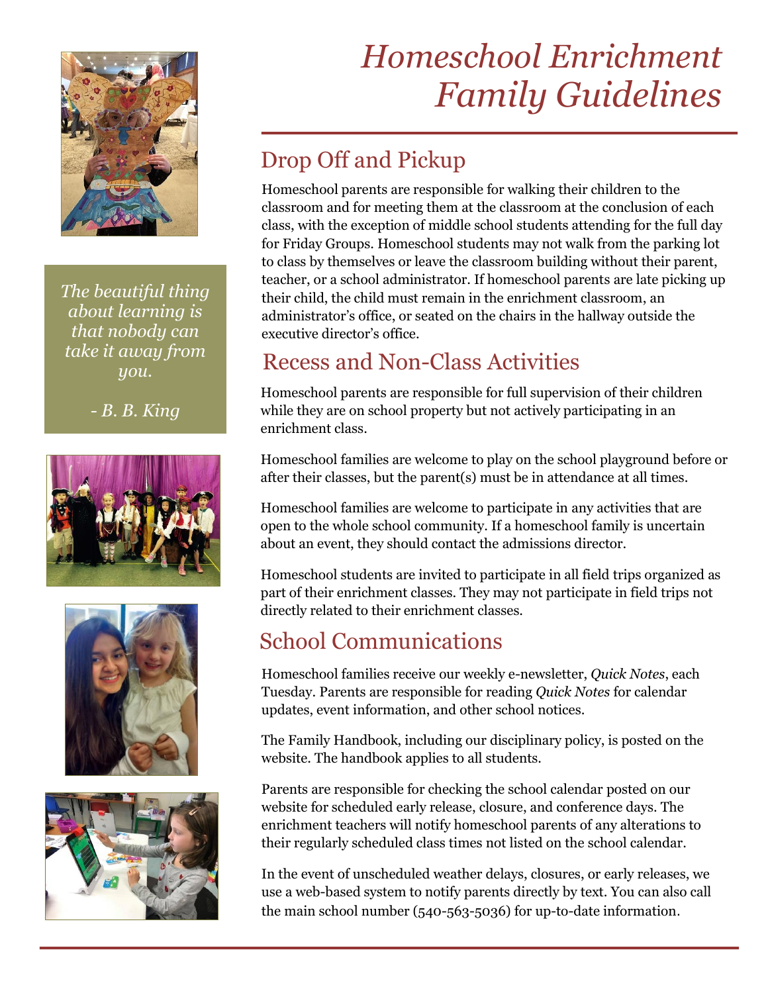

*The beautiful thing about learning is that nobody can take it away from you.*

*- B. B. King*







### **\_\_\_\_\_\_\_\_\_\_\_\_\_\_\_** *Homeschool Enrichment Family Guidelines*

## **Drop Off and Pickup**<br>
Homeschool parents are responsi

Homeschool parents are responsible for walking their children to the classroom and for meeting them at the classroom at the conclusion of each class, with the exception of middle school students attending for the full day for Friday Groups. Homeschool students may not walk from the parking lot to class by themselves or leave the classroom building without their parent, teacher, or a school administrator. If homeschool parents are late picking up their child, the child must remain in the enrichment classroom, an administrator's office, or seated on the chairs in the hallway outside the executive director's office.

### Recess and Non-Class Activities

Homeschool parents are responsible for full supervision of their children while they are on school property but not actively participating in an enrichment class.

Homeschool families are welcome to play on the school playground before or after their classes, but the parent(s) must be in attendance at all times.

Homeschool families are welcome to participate in any activities that are open to the whole school community. If a homeschool family is uncertain about an event, they should contact the admissions director.

Homeschool students are invited to participate in all field trips organized as part of their enrichment classes. They may not participate in field trips not directly related to their enrichment classes.

### School Communications

Homeschool families receive our weekly e-newsletter, *Quick Notes*, each Tuesday. Parents are responsible for reading *Quick Notes* for calendar updates, event information, and other school notices.

The Family Handbook, including our disciplinary policy, is posted on the website. The handbook applies to all students.

Parents are responsible for checking the school calendar posted on our website for scheduled early release, closure, and conference days. The enrichment teachers will notify homeschool parents of any alterations to their regularly scheduled class times not listed on the school calendar.

the main school number (540-563-5036) for up-to-date information. In the event of unscheduled weather delays, closures, or early releases, we use a web-based system to notify parents directly by text. You can also call

1. Homeschool students will receive a semester evaluation or